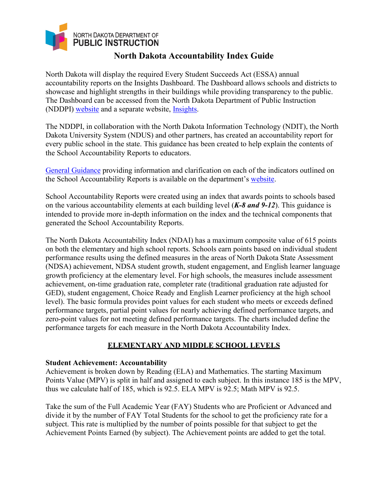

# **North Dakota Accountability Index Guide**

North Dakota will display the required Every Student Succeeds Act (ESSA) annual accountability reports on the Insights Dashboard. The Dashboard allows schools and districts to showcase and highlight strengths in their buildings while providing transparency to the public. The Dashboard can be accessed from the North Dakota Department of Public Instruction (NDDPI) [website](https://www.nd.gov/dpi/) and a separate website, [Insights.](https://insights.nd.gov/)

The NDDPI, in collaboration with the North Dakota Information Technology (NDIT), the North Dakota University System (NDUS) and other partners, has created an accountability report for every public school in the state. This guidance has been created to help explain the contents of the School Accountability Reports to educators.

[General Guidance](https://www.nd.gov/dpi/accountability) providing information and clarification on each of the indicators outlined on the School Accountability Reports is available on the department's [website.](https://www.nd.gov/dpi/accountability)

School Accountability Reports were created using an index that awards points to schools based on the various accountability elements at each building level (*K-8 and 9-12*). This guidance is intended to provide more in-depth information on the index and the technical components that generated the School Accountability Reports.

The North Dakota Accountability Index (NDAI) has a maximum composite value of 615 points on both the elementary and high school reports. Schools earn points based on individual student performance results using the defined measures in the areas of North Dakota State Assessment (NDSA) achievement, NDSA student growth, student engagement, and English learner language growth proficiency at the elementary level. For high schools, the measures include assessment achievement, on-time graduation rate, completer rate (traditional graduation rate adjusted for GED), student engagement, Choice Ready and English Learner proficiency at the high school level). The basic formula provides point values for each student who meets or exceeds defined performance targets, partial point values for nearly achieving defined performance targets, and zero-point values for not meeting defined performance targets. The charts included define the performance targets for each measure in the North Dakota Accountability Index.

# **ELEMENTARY AND MIDDLE SCHOOL LEVELS**

# **Student Achievement: Accountability**

Achievement is broken down by Reading (ELA) and Mathematics. The starting Maximum Points Value (MPV) is split in half and assigned to each subject. In this instance 185 is the MPV, thus we calculate half of 185, which is 92.5. ELA MPV is 92.5; Math MPV is 92.5.

Take the sum of the Full Academic Year (FAY) Students who are Proficient or Advanced and divide it by the number of FAY Total Students for the school to get the proficiency rate for a subject. This rate is multiplied by the number of points possible for that subject to get the Achievement Points Earned (by subject). The Achievement points are added to get the total.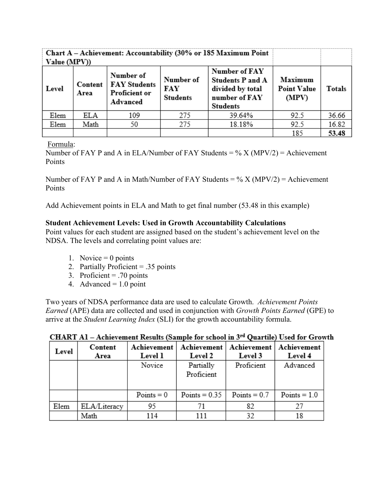| Value (MPV)) | Chart A – Achievement: Accountability (30% or 185 Maximum Point |                                                                      |                                     |                                                                                                  |                                        |        |
|--------------|-----------------------------------------------------------------|----------------------------------------------------------------------|-------------------------------------|--------------------------------------------------------------------------------------------------|----------------------------------------|--------|
| Level        | Content<br>Area                                                 | Number of<br><b>FAY Students</b><br><b>Proficient or</b><br>Advanced | Number of<br>FAY<br><b>Students</b> | Number of FAY<br><b>Students P and A</b><br>divided by total<br>number of FAY<br><b>Students</b> | Maximum<br><b>Point Value</b><br>(MPV) | Totals |
| Elem         | ELA                                                             | 109                                                                  | 275                                 | 39.64%                                                                                           | 92.5                                   | 36.66  |
| Elem         | Math                                                            | 50                                                                   | 275                                 | 18.18%                                                                                           | 92.5                                   | 16.82  |
|              |                                                                 |                                                                      |                                     |                                                                                                  | 185                                    | 53.48  |

Formula:

Number of FAY P and A in ELA/Number of FAY Students =  $\%$  X (MPV/2) = Achievement Points

Number of FAY P and A in Math/Number of FAY Students =  $\%$  X (MPV/2) = Achievement Points

Add Achievement points in ELA and Math to get final number (53.48 in this example)

# **Student Achievement Levels: Used in Growth Accountability Calculations**

Point values for each student are assigned based on the student's achievement level on the NDSA. The levels and correlating point values are:

- 1. Novice  $= 0$  points
- 2. Partially Proficient = .35 points
- 3. Proficient  $= .70$  points
- 4. Advanced  $= 1.0$  point

Two years of NDSA performance data are used to calculate Growth. *Achievement Points Earned* (APE) data are collected and used in conjunction with *Growth Points Earned* (GPE) to arrive at the *Student Learning Index* (SLI) for the growth accountability formula.

| Level | Content<br>Area | Achievement<br>Achievement  <br><b>Level 1</b><br>Level 2 |                         | Achievement  <br>Level 3 | Achievement<br>Level 4 |
|-------|-----------------|-----------------------------------------------------------|-------------------------|--------------------------|------------------------|
|       |                 | Novice                                                    | Partially<br>Proficient | Proficient               | Advanced               |
|       |                 | $Points = 0$                                              | Points = $0.35$         | Points = $0.7$           | $Points = 1.0$         |
| Elem  | ELA/Literacy    | 95                                                        |                         | 82                       | 27                     |
|       | Math            | 114                                                       | 111                     | 32                       | 18                     |

CHART A1 - Achievement Results (Sample for school in 3rd Quartile) Used for Growth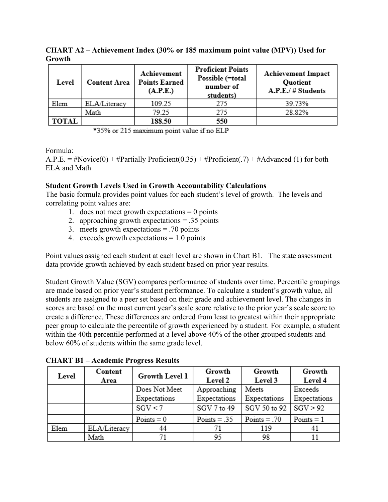| Level        | <b>Content Area</b> | Achievement<br><b>Points Earned</b><br>(A.P.E.) | <b>Proficient Points</b><br>Possible (=total<br>number of<br>students) | <b>Achievement Impact</b><br>Quotient<br>A.P.E./ # Students |  |
|--------------|---------------------|-------------------------------------------------|------------------------------------------------------------------------|-------------------------------------------------------------|--|
| Elem         | ELA/Literacy        | 109.25                                          | 275                                                                    | 39.73%                                                      |  |
|              | Math                | 79.25                                           | 275                                                                    | 28.82%                                                      |  |
| <b>TOTAL</b> |                     | 188.50                                          | 550                                                                    |                                                             |  |

**CHART A2 – Achievement Index (30% or 185 maximum point value (MPV)) Used for Growth**

\*35% or 215 maximum point value if no ELP

### Formula:

A.P.E. = #Novice(0) + #Partially Proficient(0.35) + #Proficient(.7) + #Advanced (1) for both ELA and Math

### **Student Growth Levels Used in Growth Accountability Calculations**

The basic formula provides point values for each student's level of growth. The levels and correlating point values are:

- 1. does not meet growth expectations  $= 0$  points
- 2. approaching growth expectations = .35 points
- 3. meets growth expectations = .70 points
- 4. exceeds growth expectations  $= 1.0$  points

Point values assigned each student at each level are shown in Chart B1. The state assessment data provide growth achieved by each student based on prior year results.

Student Growth Value (SGV) compares performance of students over time. Percentile groupings are made based on prior year's student performance. To calculate a student's growth value, all students are assigned to a peer set based on their grade and achievement level. The changes in scores are based on the most current year's scale score relative to the prior year's scale score to create a difference. These differences are ordered from least to greatest within their appropriate peer group to calculate the percentile of growth experienced by a student. For example, a student within the 40th percentile performed at a level above 40% of the other grouped students and below 60% of students within the same grade level.

| Level | Content      | <b>Growth Level 1</b> | Growth         | Growth         | Growth       |
|-------|--------------|-----------------------|----------------|----------------|--------------|
|       | Area         |                       | Level 2        | Level 3        | Level 4      |
|       |              | Does Not Meet         | Approaching    | Meets          | Exceeds      |
|       |              | Expectations          | Expectations   | Expectations   | Expectations |
|       |              | SGV < 7               | SGV 7 to 49    | SGV 50 to 92   | SGV > 92     |
|       |              | $Points = 0$          | Points $= .35$ | $Points = .70$ | $Points = 1$ |
| Elem  | ELA/Literacy | 44                    | 71             | 119            | 41           |
|       | Math         |                       | 95             | 98             | 11           |

**CHART B1 – Academic Progress Results**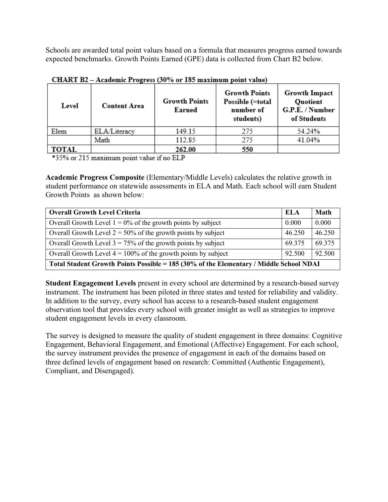Schools are awarded total point values based on a formula that measures progress earned towards expected benchmarks. Growth Points Earned (GPE) data is collected from Chart B2 below.

| Level        | <b>Content Area</b> | <b>Growth Points</b><br><b>Earned</b> | <b>Growth Points</b><br>Possible (=total<br>number of<br>students) | Growth Impact<br>Quotient<br>G.P.E. / Number<br>of Students |
|--------------|---------------------|---------------------------------------|--------------------------------------------------------------------|-------------------------------------------------------------|
| Elem         | ELA/Literacy        | 149.15                                | 275                                                                | 54.24%                                                      |
|              | Math                | 112.85                                | 275                                                                | 41.04%                                                      |
| <b>TOTAL</b> |                     | 262.00                                | 550                                                                |                                                             |

CHART B2 - Academic Progress (30% or 185 maximum point value)

\*35% or 215 maximum point value if no ELP

**Academic Progress Composite** (Elementary/Middle Levels) calculates the relative growth in student performance on statewide assessments in ELA and Math. Each school will earn Student Growth Points as shown below:

| <b>Overall Growth Level Criteria</b>                                                   | ELA    | <b>Math</b> |  |  |  |  |
|----------------------------------------------------------------------------------------|--------|-------------|--|--|--|--|
| Overall Growth Level $1 = 0\%$ of the growth points by subject                         | 0.000  | 0.000       |  |  |  |  |
| Overall Growth Level $2 = 50\%$ of the growth points by subject                        | 46.250 | 46.250      |  |  |  |  |
| Overall Growth Level $3 = 75\%$ of the growth points by subject                        | 69.375 | 69.375      |  |  |  |  |
| Overall Growth Level $4 = 100\%$ of the growth points by subject                       | 92.500 | 92.500      |  |  |  |  |
| Total Student Growth Points Possible = 185 (30% of the Elementary / Middle School NDAI |        |             |  |  |  |  |

**Student Engagement Levels** present in every school are determined by a research-based survey instrument. The instrument has been piloted in three states and tested for reliability and validity. In addition to the survey, every school has access to a research-based student engagement observation tool that provides every school with greater insight as well as strategies to improve student engagement levels in every classroom.

The survey is designed to measure the quality of student engagement in three domains: Cognitive Engagement, Behavioral Engagement, and Emotional (Affective) Engagement. For each school, the survey instrument provides the presence of engagement in each of the domains based on three defined levels of engagement based on research: Committed (Authentic Engagement), Compliant, and Disengaged).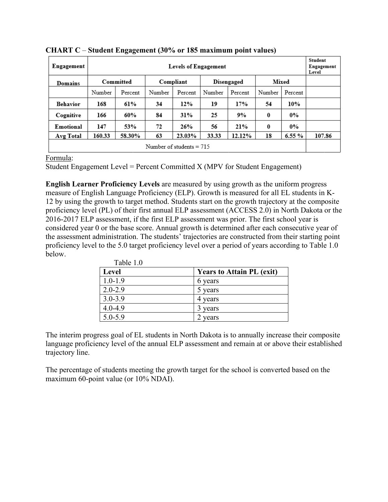| Engagement | <b>Levels of Engagement</b> |                                                          |        |           |        |            |          |         | Student<br>Engagement<br>Level |
|------------|-----------------------------|----------------------------------------------------------|--------|-----------|--------|------------|----------|---------|--------------------------------|
| Domains    |                             | Committed                                                |        | Compliant |        | Disengaged |          | Mixed   |                                |
|            | Number                      | Percent                                                  | Number | Percent   | Number | Percent    | Number   | Percent |                                |
| Behavior   | 168                         | 61%                                                      | 34     | 12%       | 19     | 17%        | 54       | 10%     |                                |
| Cognitive  | 166                         | 60%                                                      | 84     | 31%       | 25     | 9%         | 0        | $0\%$   |                                |
| Emotional  | 147                         | 53%                                                      | 72     | 26%       | 56     | 21%        | $\bf{0}$ | $0\%$   |                                |
| Avg Total  | 160.33                      | 6.55%<br>33.33<br>12.12%<br>58.30%<br>63<br>23.03%<br>18 |        |           |        |            |          |         |                                |
|            | Number of students $= 715$  |                                                          |        |           |        |            |          |         |                                |

**CHART C** – **Student Engagement (30% or 185 maximum point values)**

Formula:

Student Engagement Level = Percent Committed X (MPV for Student Engagement)

**English Learner Proficiency Levels** are measured by using growth as the uniform progress measure of English Language Proficiency (ELP). Growth is measured for all EL students in K-12 by using the growth to target method. Students start on the growth trajectory at the composite proficiency level (PL) of their first annual ELP assessment (ACCESS 2.0) in North Dakota or the 2016-2017 ELP assessment, if the first ELP assessment was prior. The first school year is considered year 0 or the base score. Annual growth is determined after each consecutive year of the assessment administration. The students' trajectories are constructed from their starting point proficiency level to the 5.0 target proficiency level over a period of years according to Table 1.0 below.

| 1 avit 1.0<br>Level | <b>Years to Attain PL (exit)</b> |
|---------------------|----------------------------------|
| $1.0 - 1.9$         | 6 years                          |
| $2.0 - 2.9$         | 5 years                          |
| $3.0 - 3.9$         | 4 years                          |
| $4.0 - 4.9$         | years                            |
| $5.0 - 5.9$         | years                            |

Table 1.0

The interim progress goal of EL students in North Dakota is to annually increase their composite language proficiency level of the annual ELP assessment and remain at or above their established trajectory line.

The percentage of students meeting the growth target for the school is converted based on the maximum 60-point value (or 10% NDAI).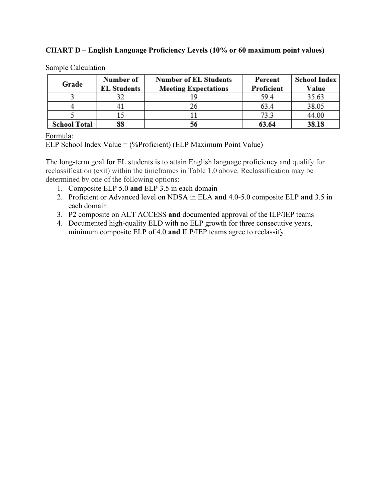### **CHART D – English Language Proficiency Levels (10% or 60 maximum point values)**

| Grade               | Number of          | <b>Number of EL Students</b> | Percent    | <b>School Index</b> |
|---------------------|--------------------|------------------------------|------------|---------------------|
|                     | <b>EL Students</b> | <b>Meeting Expectations</b>  | Proficient | Value               |
|                     |                    |                              | 59.4       | 35.63               |
|                     |                    | 26                           | 63.4       | 38.05               |
|                     |                    |                              | 73.3       | 44.00               |
| <b>School Total</b> | 88                 | 56                           | 63.64      | 38.18               |

#### Sample Calculation

### Formula:

ELP School Index Value = (%Proficient) (ELP Maximum Point Value)

The long-term goal for EL students is to attain English language proficiency and qualify for reclassification (exit) within the timeframes in Table 1.0 above. Reclassification may be determined by one of the following options:

- 1. Composite ELP 5.0 **and** ELP 3.5 in each domain
- 2. Proficient or Advanced level on NDSA in ELA **and** 4.0-5.0 composite ELP **and** 3.5 in each domain
- 3. P2 composite on ALT ACCESS **and** documented approval of the ILP/IEP teams
- 4. Documented high-quality ELD with no ELP growth for three consecutive years, minimum composite ELP of 4.0 **and** ILP/IEP teams agree to reclassify.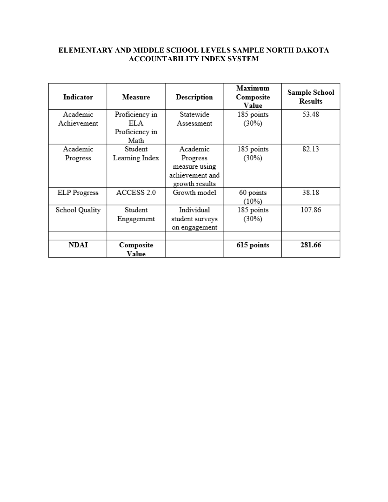# **ELEMENTARY AND MIDDLE SCHOOL LEVELS SAMPLE NORTH DAKOTA ACCOUNTABILITY INDEX SYSTEM**

| Indicator           | Measure        | Description     | Maximum<br>Composite<br>Value | Sample School<br><b>Results</b> |
|---------------------|----------------|-----------------|-------------------------------|---------------------------------|
| Academic            | Proficiency in | Statewide       | 185 points                    | 53.48                           |
| Achievement         | ELA            | Assessment      | (30%)                         |                                 |
|                     | Proficiency in |                 |                               |                                 |
|                     | Math           |                 |                               |                                 |
| Academic            | Student        | Academic        | 185 points                    | 82.13                           |
| Progress            | Learning Index | Progress        | (30%)                         |                                 |
|                     |                | measure using   |                               |                                 |
|                     |                | achievement and |                               |                                 |
|                     |                | growth results  |                               |                                 |
| <b>ELP</b> Progress | ACCESS 2.0     | Growth model    | 60 points                     | 38.18                           |
|                     |                |                 | $(10\%)$                      |                                 |
| School Quality      | Student        | Individual      | 185 points                    | 107.86                          |
|                     | Engagement     | student surveys | (30%)                         |                                 |
|                     |                | on engagement   |                               |                                 |
|                     |                |                 |                               |                                 |
| NDAI                | Composite      |                 | 615 points                    | 281.66                          |
|                     | Value          |                 |                               |                                 |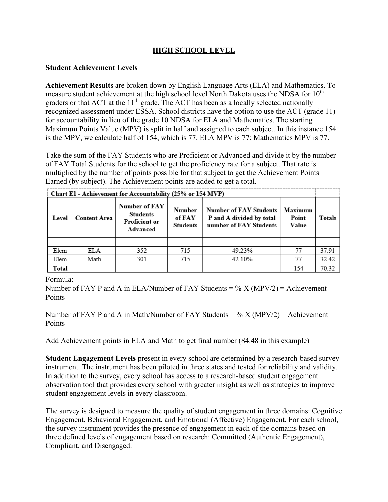# **HIGH SCHOOL LEVEL**

### **Student Achievement Levels**

**Achievement Results** are broken down by English Language Arts (ELA) and Mathematics. To measure student achievement at the high school level North Dakota uses the NDSA for 10<sup>th</sup> graders or that ACT at the  $11<sup>th</sup>$  grade. The ACT has been as a locally selected nationally recognized assessment under ESSA. School districts have the option to use the ACT (grade 11) for accountability in lieu of the grade 10 NDSA for ELA and Mathematics. The starting Maximum Points Value (MPV) is split in half and assigned to each subject. In this instance 154 is the MPV, we calculate half of 154, which is 77. ELA MPV is 77; Mathematics MPV is 77.

Take the sum of the FAY Students who are Proficient or Advanced and divide it by the number of FAY Total Students for the school to get the proficiency rate for a subject. That rate is multiplied by the number of points possible for that subject to get the Achievement Points Earned (by subject). The Achievement points are added to get a total.

| Chart El - Achievement for Accountability (25% or 154 MVP) |                     |                                                                      |                                     |                                                                                     |                           |        |
|------------------------------------------------------------|---------------------|----------------------------------------------------------------------|-------------------------------------|-------------------------------------------------------------------------------------|---------------------------|--------|
| Level                                                      | <b>Content Area</b> | Number of FAY<br><b>Students</b><br><b>Proficient or</b><br>Advanced | Number<br>of FAY<br><b>Students</b> | <b>Number of FAY Students</b><br>P and A divided by total<br>number of FAY Students | Maximum<br>Point<br>Value | Totals |
|                                                            |                     |                                                                      |                                     |                                                                                     |                           |        |
| Elem                                                       | ELA                 | 352                                                                  | 715                                 | 49.23%                                                                              | 77                        | 37.91  |
| Elem                                                       | Math                | 301                                                                  | 715                                 | 42.10%                                                                              | 77                        | 32.42  |
| Total                                                      |                     |                                                                      |                                     |                                                                                     | 154                       | 70.32  |

Formula:

Number of FAY P and A in ELA/Number of FAY Students =  $\%$  X (MPV/2) = Achievement Points

Number of FAY P and A in Math/Number of FAY Students =  $\%$  X (MPV/2) = Achievement Points

Add Achievement points in ELA and Math to get final number (84.48 in this example)

**Student Engagement Levels** present in every school are determined by a research-based survey instrument. The instrument has been piloted in three states and tested for reliability and validity. In addition to the survey, every school has access to a research-based student engagement observation tool that provides every school with greater insight as well as strategies to improve student engagement levels in every classroom.

The survey is designed to measure the quality of student engagement in three domains: Cognitive Engagement, Behavioral Engagement, and Emotional (Affective) Engagement. For each school, the survey instrument provides the presence of engagement in each of the domains based on three defined levels of engagement based on research: Committed (Authentic Engagement), Compliant, and Disengaged.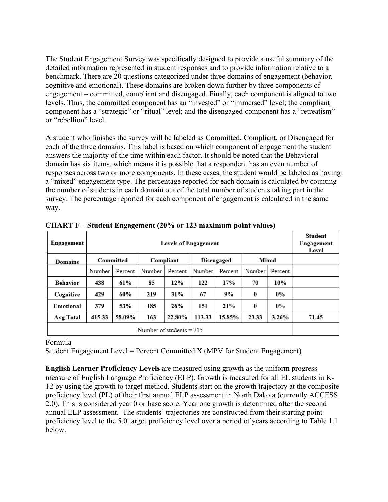The Student Engagement Survey was specifically designed to provide a useful summary of the detailed information represented in student responses and to provide information relative to a benchmark. There are 20 questions categorized under three domains of engagement (behavior, cognitive and emotional). These domains are broken down further by three components of engagement – committed, compliant and disengaged. Finally, each component is aligned to two levels. Thus, the committed component has an "invested" or "immersed" level; the compliant component has a "strategic" or "ritual" level; and the disengaged component has a "retreatism" or "rebellion" level.

A student who finishes the survey will be labeled as Committed, Compliant, or Disengaged for each of the three domains. This label is based on which component of engagement the student answers the majority of the time within each factor. It should be noted that the Behavioral domain has six items, which means it is possible that a respondent has an even number of responses across two or more components. In these cases, the student would be labeled as having a "mixed" engagement type. The percentage reported for each domain is calculated by counting the number of students in each domain out of the total number of students taking part in the survey. The percentage reported for each component of engagement is calculated in the same way.

| Engagement      | <b>Levels of Engagement</b> |                                               |        |         |        |         |        |         | Student<br>Engagement<br>Level |
|-----------------|-----------------------------|-----------------------------------------------|--------|---------|--------|---------|--------|---------|--------------------------------|
| Domains         |                             | Mixed<br>Committed<br>Compliant<br>Disengaged |        |         |        |         |        |         |                                |
|                 | Number                      | Percent                                       | Number | Percent | Number | Percent | Number | Percent |                                |
| <b>Behavior</b> | 438                         | 61%                                           | 85     | 12%     | 122    | 17%     | 70     | 10%     |                                |
| Cognitive       | 429                         | 60%                                           | 219    | 31%     | 67     | 9%      | 0      | $0\%$   |                                |
| Emotional       | 379                         | 53%                                           | 185    | 26%     | 151    | 21%     | 0      | $0\%$   |                                |
| Avg Total       | 415.33                      | 58.09%                                        | 163    | 22.80%  | 113.33 | 15.85%  | 23.33  | 3.26%   | 71.45                          |
|                 | Number of students $= 715$  |                                               |        |         |        |         |        |         |                                |

**CHART F** – **Student Engagement (20% or 123 maximum point values)**

# Formula

Student Engagement Level = Percent Committed  $X$  (MPV for Student Engagement)

**English Learner Proficiency Levels** are measured using growth as the uniform progress measure of English Language Proficiency (ELP). Growth is measured for all EL students in K-12 by using the growth to target method. Students start on the growth trajectory at the composite proficiency level (PL) of their first annual ELP assessment in North Dakota (currently ACCESS 2.0). This is considered year 0 or base score. Year one growth is determined after the second annual ELP assessment. The students' trajectories are constructed from their starting point proficiency level to the 5.0 target proficiency level over a period of years according to Table 1.1 below.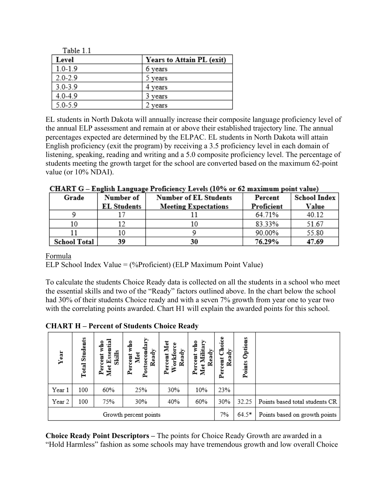| Table 1.1   |                           |
|-------------|---------------------------|
| Level       | Years to Attain PL (exit) |
| $1.0 - 1.9$ | 6 years                   |
| $2.0 - 2.9$ | years                     |
| $3.0 - 3.9$ | 4 years                   |
| $4.0 - 4.9$ | 3 years                   |
| $5.0 - 5.9$ | vears                     |

EL students in North Dakota will annually increase their composite language proficiency level of the annual ELP assessment and remain at or above their established trajectory line. The annual percentages expected are determined by the ELPAC. EL students in North Dakota will attain English proficiency (exit the program) by receiving a 3.5 proficiency level in each domain of listening, speaking, reading and writing and a 5.0 composite proficiency level. The percentage of students meeting the growth target for the school are converted based on the maximum 62-point value (or 10% NDAI).

| CHART O – English Language I Fonciency Levels (1070 of 02 maximum point value) |                    |                              |            |              |  |  |
|--------------------------------------------------------------------------------|--------------------|------------------------------|------------|--------------|--|--|
| Grade                                                                          | Number of          | <b>Number of EL Students</b> | Percent    | School Index |  |  |
|                                                                                | <b>EL Students</b> | <b>Meeting Expectations</b>  | Proficient | Value        |  |  |
|                                                                                |                    |                              | 64.71%     | 40.12        |  |  |
|                                                                                |                    |                              | 83.33%     | 51.67        |  |  |
|                                                                                |                    |                              | 90.00%     | 55.80        |  |  |
| <b>School Total</b>                                                            | 39                 | 30                           | 76.29%     | 47.69        |  |  |

 $CHART G =$  English Language Proficiency Levels (10% or 62 maximum point value)

# Formula

ELP School Index Value = (%Proficient) (ELP Maximum Point Value)

To calculate the students Choice Ready data is collected on all the students in a school who meet the essential skills and two of the "Ready" factors outlined above. In the chart below the school had 30% of their students Choice ready and with a seven 7% growth from year one to year two with the correlating points awarded. Chart H1 will explain the awarded points for this school.

| Year                  | Students<br>Total <sup>3</sup> | Essential<br>who<br>$\frac{1}{2}$<br>Percent<br>Met | Postsecondary<br>۰<br>륗<br>Ready<br>Met<br>Percent | Percent Met<br>Workforce<br>Ready | who<br>Militar<br>Ready<br>Percent<br>Met | Choice<br>Ready<br>Percent    | Options<br>Points |                                |
|-----------------------|--------------------------------|-----------------------------------------------------|----------------------------------------------------|-----------------------------------|-------------------------------------------|-------------------------------|-------------------|--------------------------------|
| Year 1                | 100                            | 60%                                                 | 25%                                                | 30%                               | 10%                                       | 23%                           |                   |                                |
| Year 2                | 100                            | 75%                                                 | 30%                                                | 40%                               | 60%                                       | 30%                           | 32.25             | Points based total students CR |
| Growth percent points |                                |                                                     |                                                    | 7%                                | $64.5*$                                   | Points based on growth points |                   |                                |

**CHART H – Percent of Students Choice Ready** 

**Choice Ready Point Descriptors –** The points for Choice Ready Growth are awarded in a "Hold Harmless" fashion as some schools may have tremendous growth and low overall Choice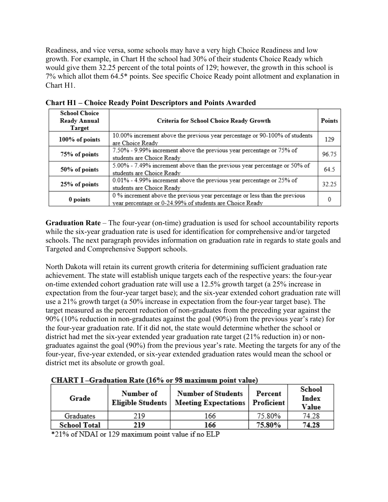Readiness, and vice versa, some schools may have a very high Choice Readiness and low growth. For example, in Chart H the school had 30% of their students Choice Ready which would give them 32.25 percent of the total points of 129; however, the growth in this school is 7% which allot them 64.5\* points. See specific Choice Ready point allotment and explanation in Chart H1.

| <b>School Choice</b><br>Ready Annual<br>Target | Criteria for School Choice Ready Growth                                                                                                | Points |
|------------------------------------------------|----------------------------------------------------------------------------------------------------------------------------------------|--------|
| 100% of points                                 | 10.00% increment above the previous year percentage or 90-100% of students<br>are Choice Ready                                         | 129    |
| 75% of points                                  | 7.50% - 9.99% increment above the previous year percentage or 75% of<br>students are Choice Ready                                      | 96.75  |
| 50% of points                                  | 5.00% - 7.49% increment above than the previous year percentage or 50% of<br>students are Choice Ready                                 | 64.5   |
| 25% of points                                  | 0.01% - 4.99% increment above the previous year percentage or 25% of<br>students are Choice Ready                                      | 32.25  |
| 0 points                                       | 0 % increment above the previous year percentage or less than the previous<br>year percentage or 0-24.99% of students are Choice Ready |        |

**Chart H1 – Choice Ready Point Descriptors and Points Awarded**

**Graduation Rate** – The four-year (on-time) graduation is used for school accountability reports while the six-year graduation rate is used for identification for comprehensive and/or targeted schools. The next paragraph provides information on graduation rate in regards to state goals and Targeted and Comprehensive Support schools.

North Dakota will retain its current growth criteria for determining sufficient graduation rate achievement. The state will establish unique targets each of the respective years: the four-year on-time extended cohort graduation rate will use a 12.5% growth target (a 25% increase in expectation from the four-year target base); and the six-year extended cohort graduation rate will use a 21% growth target (a 50% increase in expectation from the four-year target base). The target measured as the percent reduction of non-graduates from the preceding year against the 90% (10% reduction in non-graduates against the goal (90%) from the previous year's rate) for the four-year graduation rate. If it did not, the state would determine whether the school or district had met the six-year extended year graduation rate target (21% reduction in) or nongraduates against the goal (90%) from the previous year's rate. Meeting the targets for any of the four-year, five-year extended, or six-year extended graduation rates would mean the school or district met its absolute or growth goal.

| Grade               | Number of<br>Eligible Students | <b>Number of Students</b><br>Meeting Expectations   Proficient | Percent | School<br>Index<br>Value |
|---------------------|--------------------------------|----------------------------------------------------------------|---------|--------------------------|
| Graduates           | 219                            | 166                                                            | 75.80%  | 74.28                    |
| <b>School Total</b> | 219                            | 166                                                            | 75.80%  | 74.28                    |

**CHART I-Graduation Rate (16% or 98 maximum point value)** 

\*21% of NDAI or 129 maximum point value if no ELP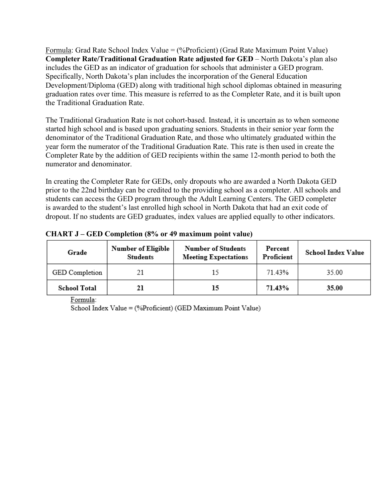Formula: Grad Rate School Index Value = (%Proficient) (Grad Rate Maximum Point Value) **Completer Rate/Traditional Graduation Rate adjusted for GED** – North Dakota's plan also includes the GED as an indicator of graduation for schools that administer a GED program. Specifically, North Dakota's plan includes the incorporation of the General Education Development/Diploma (GED) along with traditional high school diplomas obtained in measuring graduation rates over time. This measure is referred to as the Completer Rate, and it is built upon the Traditional Graduation Rate.

The Traditional Graduation Rate is not cohort-based. Instead, it is uncertain as to when someone started high school and is based upon graduating seniors. Students in their senior year form the denominator of the Traditional Graduation Rate, and those who ultimately graduated within the year form the numerator of the Traditional Graduation Rate. This rate is then used in create the Completer Rate by the addition of GED recipients within the same 12-month period to both the numerator and denominator.

In creating the Completer Rate for GEDs, only dropouts who are awarded a North Dakota GED prior to the 22nd birthday can be credited to the providing school as a completer. All schools and students can access the GED program through the Adult Learning Centers. The GED completer is awarded to the student's last enrolled high school in North Dakota that had an exit code of dropout. If no students are GED graduates, index values are applied equally to other indicators.

|  |  | <b>CHART J – GED Completion (8% or 49 maximum point value)</b> |
|--|--|----------------------------------------------------------------|
|  |  |                                                                |

| Grade               | Number of Eligible<br><b>Students</b> | <b>Number of Students</b><br><b>Meeting Expectations</b> | Percent<br>Proficient | School Index Value |
|---------------------|---------------------------------------|----------------------------------------------------------|-----------------------|--------------------|
| GED Completion      |                                       |                                                          | 71.43%                | 35.00              |
| <b>School Total</b> |                                       | 15                                                       | 71.43%                | 35.00              |

Formula:

School Index Value = (%Proficient) (GED Maximum Point Value)